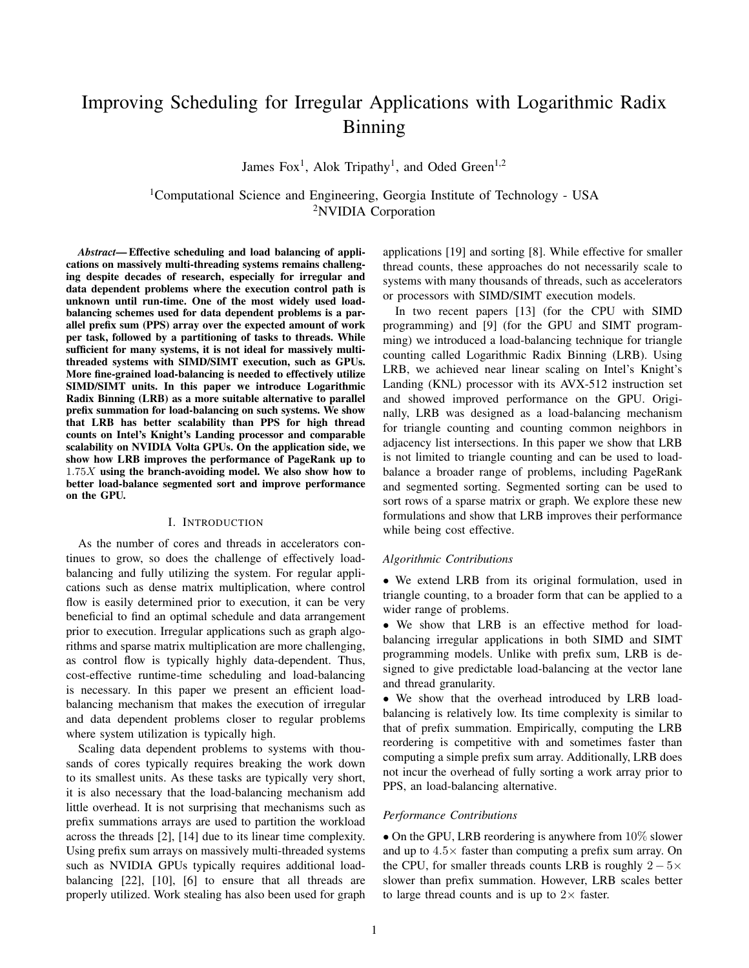# Improving Scheduling for Irregular Applications with Logarithmic Radix Binning

James Fox<sup>1</sup>, Alok Tripathy<sup>1</sup>, and Oded Green<sup>1,2</sup>

<sup>1</sup>Computational Science and Engineering, Georgia Institute of Technology - USA <sup>2</sup>NVIDIA Corporation

*Abstract*— Effective scheduling and load balancing of applications on massively multi-threading systems remains challenging despite decades of research, especially for irregular and data dependent problems where the execution control path is unknown until run-time. One of the most widely used loadbalancing schemes used for data dependent problems is a parallel prefix sum (PPS) array over the expected amount of work per task, followed by a partitioning of tasks to threads. While sufficient for many systems, it is not ideal for massively multithreaded systems with SIMD/SIMT execution, such as GPUs. More fine-grained load-balancing is needed to effectively utilize SIMD/SIMT units. In this paper we introduce Logarithmic Radix Binning (LRB) as a more suitable alternative to parallel prefix summation for load-balancing on such systems. We show that LRB has better scalability than PPS for high thread counts on Intel's Knight's Landing processor and comparable scalability on NVIDIA Volta GPUs. On the application side, we show how LRB improves the performance of PageRank up to  $1.75X$  using the branch-avoiding model. We also show how to better load-balance segmented sort and improve performance on the GPU.

## I. INTRODUCTION

As the number of cores and threads in accelerators continues to grow, so does the challenge of effectively loadbalancing and fully utilizing the system. For regular applications such as dense matrix multiplication, where control flow is easily determined prior to execution, it can be very beneficial to find an optimal schedule and data arrangement prior to execution. Irregular applications such as graph algorithms and sparse matrix multiplication are more challenging, as control flow is typically highly data-dependent. Thus, cost-effective runtime-time scheduling and load-balancing is necessary. In this paper we present an efficient loadbalancing mechanism that makes the execution of irregular and data dependent problems closer to regular problems where system utilization is typically high.

Scaling data dependent problems to systems with thousands of cores typically requires breaking the work down to its smallest units. As these tasks are typically very short, it is also necessary that the load-balancing mechanism add little overhead. It is not surprising that mechanisms such as prefix summations arrays are used to partition the workload across the threads [2], [14] due to its linear time complexity. Using prefix sum arrays on massively multi-threaded systems such as NVIDIA GPUs typically requires additional loadbalancing [22], [10], [6] to ensure that all threads are properly utilized. Work stealing has also been used for graph applications [19] and sorting [8]. While effective for smaller thread counts, these approaches do not necessarily scale to systems with many thousands of threads, such as accelerators or processors with SIMD/SIMT execution models.

In two recent papers [13] (for the CPU with SIMD programming) and [9] (for the GPU and SIMT programming) we introduced a load-balancing technique for triangle counting called Logarithmic Radix Binning (LRB). Using LRB, we achieved near linear scaling on Intel's Knight's Landing (KNL) processor with its AVX-512 instruction set and showed improved performance on the GPU. Originally, LRB was designed as a load-balancing mechanism for triangle counting and counting common neighbors in adjacency list intersections. In this paper we show that LRB is not limited to triangle counting and can be used to loadbalance a broader range of problems, including PageRank and segmented sorting. Segmented sorting can be used to sort rows of a sparse matrix or graph. We explore these new formulations and show that LRB improves their performance while being cost effective.

#### *Algorithmic Contributions*

• We extend LRB from its original formulation, used in triangle counting, to a broader form that can be applied to a wider range of problems.

• We show that LRB is an effective method for loadbalancing irregular applications in both SIMD and SIMT programming models. Unlike with prefix sum, LRB is designed to give predictable load-balancing at the vector lane and thread granularity.

• We show that the overhead introduced by LRB loadbalancing is relatively low. Its time complexity is similar to that of prefix summation. Empirically, computing the LRB reordering is competitive with and sometimes faster than computing a simple prefix sum array. Additionally, LRB does not incur the overhead of fully sorting a work array prior to PPS, an load-balancing alternative.

#### *Performance Contributions*

• On the GPU, LRB reordering is anywhere from 10% slower and up to  $4.5\times$  faster than computing a prefix sum array. On the CPU, for smaller threads counts LRB is roughly  $2 - 5 \times$ slower than prefix summation. However, LRB scales better to large thread counts and is up to  $2\times$  faster.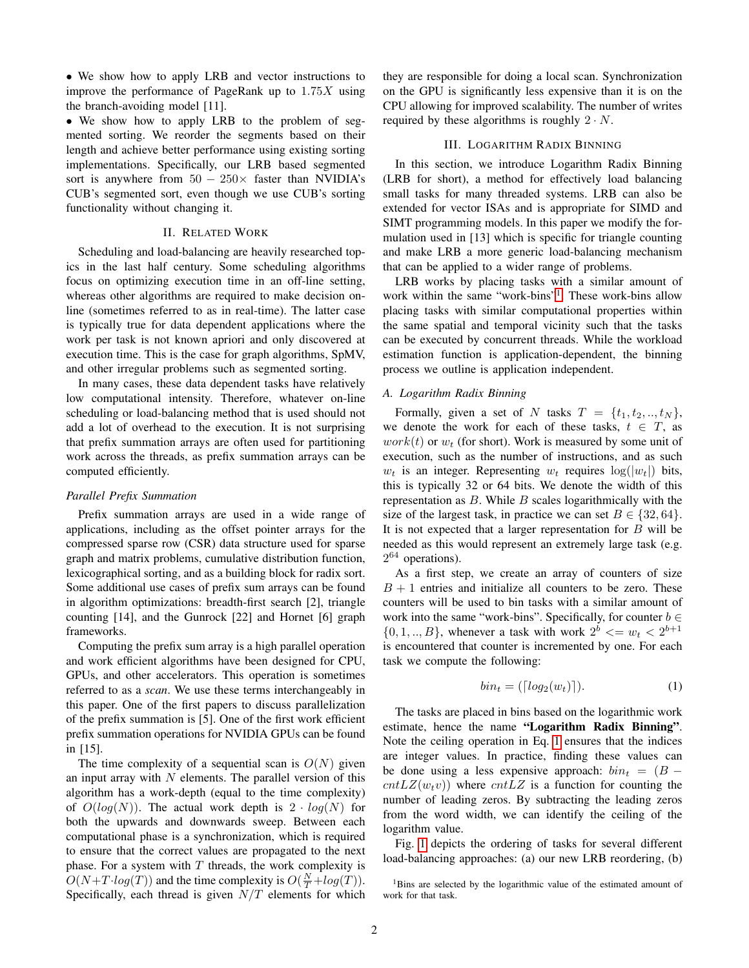• We show how to apply LRB and vector instructions to improve the performance of PageRank up to 1.75X using the branch-avoiding model [11].

• We show how to apply LRB to the problem of segmented sorting. We reorder the segments based on their length and achieve better performance using existing sorting implementations. Specifically, our LRB based segmented sort is anywhere from  $50 - 250 \times$  faster than NVIDIA's CUB's segmented sort, even though we use CUB's sorting functionality without changing it.

## II. RELATED WORK

Scheduling and load-balancing are heavily researched topics in the last half century. Some scheduling algorithms focus on optimizing execution time in an off-line setting, whereas other algorithms are required to make decision online (sometimes referred to as in real-time). The latter case is typically true for data dependent applications where the work per task is not known apriori and only discovered at execution time. This is the case for graph algorithms, SpMV, and other irregular problems such as segmented sorting.

In many cases, these data dependent tasks have relatively low computational intensity. Therefore, whatever on-line scheduling or load-balancing method that is used should not add a lot of overhead to the execution. It is not surprising that prefix summation arrays are often used for partitioning work across the threads, as prefix summation arrays can be computed efficiently.

## *Parallel Prefix Summation*

Prefix summation arrays are used in a wide range of applications, including as the offset pointer arrays for the compressed sparse row (CSR) data structure used for sparse graph and matrix problems, cumulative distribution function, lexicographical sorting, and as a building block for radix sort. Some additional use cases of prefix sum arrays can be found in algorithm optimizations: breadth-first search [2], triangle counting [14], and the Gunrock [22] and Hornet [6] graph frameworks.

Computing the prefix sum array is a high parallel operation and work efficient algorithms have been designed for CPU, GPUs, and other accelerators. This operation is sometimes referred to as a *scan*. We use these terms interchangeably in this paper. One of the first papers to discuss parallelization of the prefix summation is [5]. One of the first work efficient prefix summation operations for NVIDIA GPUs can be found in [15].

The time complexity of a sequential scan is  $O(N)$  given an input array with  $N$  elements. The parallel version of this algorithm has a work-depth (equal to the time complexity) of  $O(log(N))$ . The actual work depth is  $2 \cdot log(N)$  for both the upwards and downwards sweep. Between each computational phase is a synchronization, which is required to ensure that the correct values are propagated to the next phase. For a system with  $T$  threads, the work complexity is  $O(N+T \cdot log(T))$  and the time complexity is  $O(\frac{N}{T} + log(T))$ . Specifically, each thread is given  $N/T$  elements for which

they are responsible for doing a local scan. Synchronization on the GPU is significantly less expensive than it is on the CPU allowing for improved scalability. The number of writes required by these algorithms is roughly  $2 \cdot N$ .

## III. LOGARITHM RADIX BINNING

In this section, we introduce Logarithm Radix Binning (LRB for short), a method for effectively load balancing small tasks for many threaded systems. LRB can also be extended for vector ISAs and is appropriate for SIMD and SIMT programming models. In this paper we modify the formulation used in [13] which is specific for triangle counting and make LRB a more generic load-balancing mechanism that can be applied to a wider range of problems.

LRB works by placing tasks with a similar amount of work within the same "work-bins"<sup>[1](#page-1-0)</sup>. These work-bins allow placing tasks with similar computational properties within the same spatial and temporal vicinity such that the tasks can be executed by concurrent threads. While the workload estimation function is application-dependent, the binning process we outline is application independent.

## *A. Logarithm Radix Binning*

Formally, given a set of N tasks  $T = \{t_1, t_2, ..., t_N\},\$ we denote the work for each of these tasks,  $t \in T$ , as  $work(t)$  or  $w<sub>t</sub>$  (for short). Work is measured by some unit of execution, such as the number of instructions, and as such  $w_t$  is an integer. Representing  $w_t$  requires  $log(|w_t|)$  bits, this is typically 32 or 64 bits. We denote the width of this representation as  $B$ . While  $B$  scales logarithmically with the size of the largest task, in practice we can set  $B \in \{32, 64\}.$ It is not expected that a larger representation for  $B$  will be needed as this would represent an extremely large task (e.g.  $2^{64}$  operations).

As a first step, we create an array of counters of size  $B + 1$  entries and initialize all counters to be zero. These counters will be used to bin tasks with a similar amount of work into the same "work-bins". Specifically, for counter  $b \in$  $\{0, 1, \ldots, B\}$ , whenever a task with work  $2^b \leq w_t \leq 2^{b+1}$ is encountered that counter is incremented by one. For each task we compute the following:

<span id="page-1-1"></span>
$$
bin_t = (\lceil log_2(w_t) \rceil). \tag{1}
$$

The tasks are placed in bins based on the logarithmic work estimate, hence the name "Logarithm Radix Binning". Note the ceiling operation in Eq. [1](#page-1-1) ensures that the indices are integer values. In practice, finding these values can be done using a less expensive approach:  $\sin t = (B$  $cntLZ(w_t v)$  where  $cntLZ$  is a function for counting the number of leading zeros. By subtracting the leading zeros from the word width, we can identify the ceiling of the logarithm value.

Fig. [1](#page-2-0) depicts the ordering of tasks for several different load-balancing approaches: (a) our new LRB reordering, (b)

<span id="page-1-0"></span><sup>&</sup>lt;sup>1</sup>Bins are selected by the logarithmic value of the estimated amount of work for that task.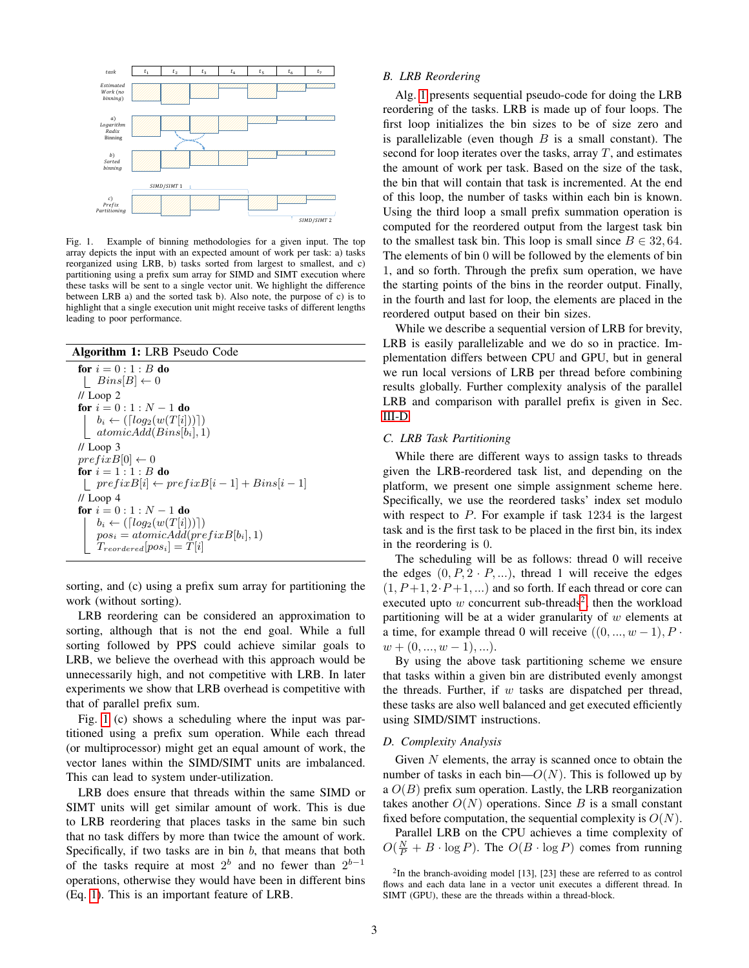

<span id="page-2-0"></span>Fig. 1. Example of binning methodologies for a given input. The top array depicts the input with an expected amount of work per task: a) tasks reorganized using LRB, b) tasks sorted from largest to smallest, and c) partitioning using a prefix sum array for SIMD and SIMT execution where these tasks will be sent to a single vector unit. We highlight the difference between LRB a) and the sorted task b). Also note, the purpose of c) is to highlight that a single execution unit might receive tasks of different lengths leading to poor performance.

<span id="page-2-1"></span>Algorithm 1: LRB Pseudo Code for  $i = 0 : 1 : B$  do  $\mid \quad Bins[B] \leftarrow 0$ // Loop 2 for  $i=0:1:N-1$  do  $b_i \leftarrow (\lceil log_2(w(T[i])) \rceil)$  $atomicAdd(Bins[b_i], 1)$ // Loop 3  $prefixB[0] \leftarrow 0$ for  $i = 1 : 1 : B$  do  $\left.\begin{array}{l} \rule{0pt}{2em} \rule{0pt}{2em} \rule{0pt}{2em} \rule{0pt}{2em} \rule{0pt}{2em} \rule{0pt}{2em} \rule{0pt}{2em} \rule{0pt}{2em} \rule{0pt}{2em} \rule{0pt}{2em} \rule{0pt}{2em} \rule{0pt}{2em} \rule{0pt}{2em} \rule{0pt}{2em} \rule{0pt}{2em} \rule{0pt}{2em} \rule{0pt}{2em} \rule{0pt}{2em} \rule{0pt}{2em} \rule{0pt}{2em} \rule{0pt}{2em} \rule{0pt}{2em} \rule{0pt}{2em} \rule{0$ // Loop 4 for  $i=0:1:N-1$  do  $b_i \leftarrow (\lceil log_2(w(T[i])) \rceil)$  $pos_i = atomicAdd(prefixB[b_i], 1)$  $T_{reordered}[pos_i] = T[i]$ 

sorting, and (c) using a prefix sum array for partitioning the work (without sorting).

LRB reordering can be considered an approximation to sorting, although that is not the end goal. While a full sorting followed by PPS could achieve similar goals to LRB, we believe the overhead with this approach would be unnecessarily high, and not competitive with LRB. In later experiments we show that LRB overhead is competitive with that of parallel prefix sum.

Fig. [1](#page-2-0) (c) shows a scheduling where the input was partitioned using a prefix sum operation. While each thread (or multiprocessor) might get an equal amount of work, the vector lanes within the SIMD/SIMT units are imbalanced. This can lead to system under-utilization.

LRB does ensure that threads within the same SIMD or SIMT units will get similar amount of work. This is due to LRB reordering that places tasks in the same bin such that no task differs by more than twice the amount of work. Specifically, if two tasks are in bin  $b$ , that means that both of the tasks require at most  $2^b$  and no fewer than  $2^{b-1}$ operations, otherwise they would have been in different bins (Eq. [1\)](#page-1-1). This is an important feature of LRB.

## *B. LRB Reordering*

Alg. [1](#page-2-1) presents sequential pseudo-code for doing the LRB reordering of the tasks. LRB is made up of four loops. The first loop initializes the bin sizes to be of size zero and is parallelizable (even though  $B$  is a small constant). The second for loop iterates over the tasks, array  $T$ , and estimates the amount of work per task. Based on the size of the task, the bin that will contain that task is incremented. At the end of this loop, the number of tasks within each bin is known. Using the third loop a small prefix summation operation is computed for the reordered output from the largest task bin to the smallest task bin. This loop is small since  $B \in 32, 64$ . The elements of bin 0 will be followed by the elements of bin 1, and so forth. Through the prefix sum operation, we have the starting points of the bins in the reorder output. Finally, in the fourth and last for loop, the elements are placed in the reordered output based on their bin sizes.

While we describe a sequential version of LRB for brevity, LRB is easily parallelizable and we do so in practice. Implementation differs between CPU and GPU, but in general we run local versions of LRB per thread before combining results globally. Further complexity analysis of the parallel LRB and comparison with parallel prefix is given in Sec. [III-D.](#page-2-2)

## *C. LRB Task Partitioning*

While there are different ways to assign tasks to threads given the LRB-reordered task list, and depending on the platform, we present one simple assignment scheme here. Specifically, we use the reordered tasks' index set modulo with respect to  $P$ . For example if task  $1234$  is the largest task and is the first task to be placed in the first bin, its index in the reordering is 0.

The scheduling will be as follows: thread 0 will receive the edges  $(0, P, 2 \cdot P, ...)$ , thread 1 will receive the edges  $(1, P+1, 2\cdot P+1, ...)$  and so forth. If each thread or core can executed upto w concurrent sub-threads<sup>[2](#page-2-3)</sup>, then the workload partitioning will be at a wider granularity of  $w$  elements at a time, for example thread 0 will receive  $((0, ..., w - 1), P \cdot$  $w + (0, ..., w - 1), ...$ .

By using the above task partitioning scheme we ensure that tasks within a given bin are distributed evenly amongst the threads. Further, if  $w$  tasks are dispatched per thread, these tasks are also well balanced and get executed efficiently using SIMD/SIMT instructions.

## <span id="page-2-2"></span>*D. Complexity Analysis*

Given  $N$  elements, the array is scanned once to obtain the number of tasks in each bin— $O(N)$ . This is followed up by a  $O(B)$  prefix sum operation. Lastly, the LRB reorganization takes another  $O(N)$  operations. Since B is a small constant fixed before computation, the sequential complexity is  $O(N)$ .

Parallel LRB on the CPU achieves a time complexity of  $O(\frac{N}{P} + B \cdot \log P)$ . The  $O(B \cdot \log P)$  comes from running

<span id="page-2-3"></span><sup>&</sup>lt;sup>2</sup>In the branch-avoiding model [13], [23] these are referred to as control flows and each data lane in a vector unit executes a different thread. In SIMT (GPU), these are the threads within a thread-block.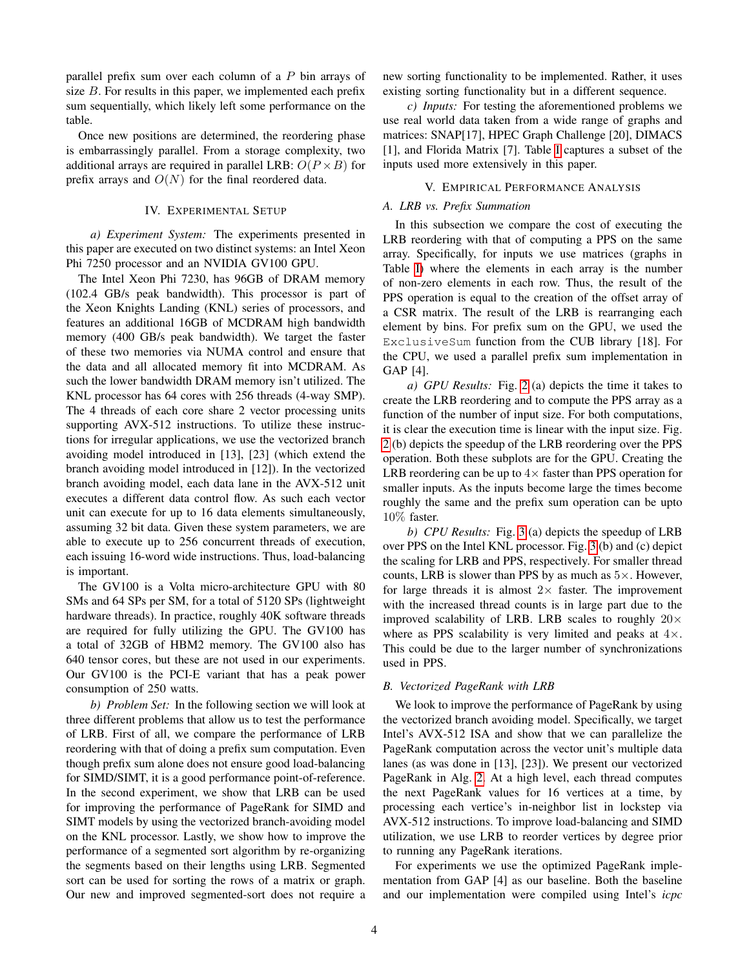parallel prefix sum over each column of a P bin arrays of size  $B$ . For results in this paper, we implemented each prefix sum sequentially, which likely left some performance on the table.

Once new positions are determined, the reordering phase is embarrassingly parallel. From a storage complexity, two additional arrays are required in parallel LRB:  $O(P \times B)$  for prefix arrays and  $O(N)$  for the final reordered data.

## IV. EXPERIMENTAL SETUP

*a) Experiment System:* The experiments presented in this paper are executed on two distinct systems: an Intel Xeon Phi 7250 processor and an NVIDIA GV100 GPU.

The Intel Xeon Phi 7230, has 96GB of DRAM memory (102.4 GB/s peak bandwidth). This processor is part of the Xeon Knights Landing (KNL) series of processors, and features an additional 16GB of MCDRAM high bandwidth memory (400 GB/s peak bandwidth). We target the faster of these two memories via NUMA control and ensure that the data and all allocated memory fit into MCDRAM. As such the lower bandwidth DRAM memory isn't utilized. The KNL processor has 64 cores with 256 threads (4-way SMP). The 4 threads of each core share 2 vector processing units supporting AVX-512 instructions. To utilize these instructions for irregular applications, we use the vectorized branch avoiding model introduced in [13], [23] (which extend the branch avoiding model introduced in [12]). In the vectorized branch avoiding model, each data lane in the AVX-512 unit executes a different data control flow. As such each vector unit can execute for up to 16 data elements simultaneously, assuming 32 bit data. Given these system parameters, we are able to execute up to 256 concurrent threads of execution, each issuing 16-word wide instructions. Thus, load-balancing is important.

The GV100 is a Volta micro-architecture GPU with 80 SMs and 64 SPs per SM, for a total of 5120 SPs (lightweight hardware threads). In practice, roughly 40K software threads are required for fully utilizing the GPU. The GV100 has a total of 32GB of HBM2 memory. The GV100 also has 640 tensor cores, but these are not used in our experiments. Our GV100 is the PCI-E variant that has a peak power consumption of 250 watts.

*b) Problem Set:* In the following section we will look at three different problems that allow us to test the performance of LRB. First of all, we compare the performance of LRB reordering with that of doing a prefix sum computation. Even though prefix sum alone does not ensure good load-balancing for SIMD/SIMT, it is a good performance point-of-reference. In the second experiment, we show that LRB can be used for improving the performance of PageRank for SIMD and SIMT models by using the vectorized branch-avoiding model on the KNL processor. Lastly, we show how to improve the performance of a segmented sort algorithm by re-organizing the segments based on their lengths using LRB. Segmented sort can be used for sorting the rows of a matrix or graph. Our new and improved segmented-sort does not require a

new sorting functionality to be implemented. Rather, it uses existing sorting functionality but in a different sequence.

*c) Inputs:* For testing the aforementioned problems we use real world data taken from a wide range of graphs and matrices: SNAP[17], HPEC Graph Challenge [20], DIMACS [1], and Florida Matrix [7]. Table [I](#page-5-0) captures a subset of the inputs used more extensively in this paper.

## V. EMPIRICAL PERFORMANCE ANALYSIS

## *A. LRB vs. Prefix Summation*

In this subsection we compare the cost of executing the LRB reordering with that of computing a PPS on the same array. Specifically, for inputs we use matrices (graphs in Table [I\)](#page-5-0) where the elements in each array is the number of non-zero elements in each row. Thus, the result of the PPS operation is equal to the creation of the offset array of a CSR matrix. The result of the LRB is rearranging each element by bins. For prefix sum on the GPU, we used the ExclusiveSum function from the CUB library [18]. For the CPU, we used a parallel prefix sum implementation in GAP [4].

*a) GPU Results:* Fig. [2](#page-4-0) (a) depicts the time it takes to create the LRB reordering and to compute the PPS array as a function of the number of input size. For both computations, it is clear the execution time is linear with the input size. Fig. [2](#page-4-0) (b) depicts the speedup of the LRB reordering over the PPS operation. Both these subplots are for the GPU. Creating the LRB reordering can be up to  $4\times$  faster than PPS operation for smaller inputs. As the inputs become large the times become roughly the same and the prefix sum operation can be upto 10% faster.

*b) CPU Results:* Fig. [3](#page-4-1) (a) depicts the speedup of LRB over PPS on the Intel KNL processor. Fig. [3](#page-4-1) (b) and (c) depict the scaling for LRB and PPS, respectively. For smaller thread counts, LRB is slower than PPS by as much as  $5\times$ . However, for large threads it is almost  $2 \times$  faster. The improvement with the increased thread counts is in large part due to the improved scalability of LRB. LRB scales to roughly  $20 \times$ where as PPS scalability is very limited and peaks at  $4\times$ . This could be due to the larger number of synchronizations used in PPS.

## *B. Vectorized PageRank with LRB*

We look to improve the performance of PageRank by using the vectorized branch avoiding model. Specifically, we target Intel's AVX-512 ISA and show that we can parallelize the PageRank computation across the vector unit's multiple data lanes (as was done in [13], [23]). We present our vectorized PageRank in Alg. [2.](#page-4-2) At a high level, each thread computes the next PageRank values for 16 vertices at a time, by processing each vertice's in-neighbor list in lockstep via AVX-512 instructions. To improve load-balancing and SIMD utilization, we use LRB to reorder vertices by degree prior to running any PageRank iterations.

For experiments we use the optimized PageRank implementation from GAP [4] as our baseline. Both the baseline and our implementation were compiled using Intel's *icpc*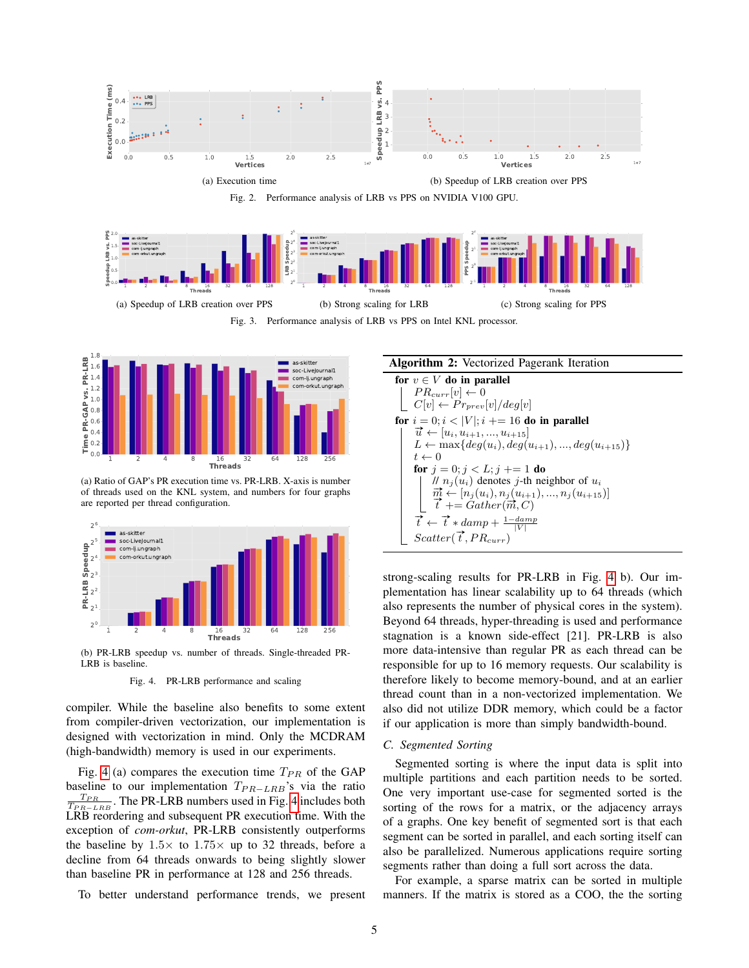

**Threads** (a) Speedup of LRB creation over PPS **Threads** (b) Strong scaling for LRB (c) Strong scaling for PPS

<span id="page-4-1"></span><span id="page-4-0"></span>Fig. 3. Performance analysis of LRB vs PPS on Intel KNL processor.



(a) Ratio of GAP's PR execution time vs. PR-LRB. X-axis is number of threads used on the KNL system, and numbers for four graphs are reported per thread configuration.



(b) PR-LRB speedup vs. number of threads. Single-threaded PR-LRB is baseline.

## <span id="page-4-3"></span>Fig. 4. PR-LRB performance and scaling

compiler. While the baseline also benefits to some extent from compiler-driven vectorization, our implementation is designed with vectorization in mind. Only the MCDRAM (high-bandwidth) memory is used in our experiments.

Fig. [4](#page-4-3) (a) compares the execution time  $T_{PR}$  of the GAP baseline to our implementation  $T_{PR-LRB}$ 's via the ratio  $\frac{T_{PR}}{T_{PR-LRB}}$ . The PR-LRB numbers used in Fig. [4](#page-4-3) includes both LRB reordering and subsequent PR execution time. With the exception of *com-orkut*, PR-LRB consistently outperforms the baseline by  $1.5 \times$  to  $1.75 \times$  up to 32 threads, before a decline from 64 threads onwards to being slightly slower than baseline PR in performance at 128 and 256 threads.

To better understand performance trends, we present

## Algorithm 2: Vectorized Pagerank Iteration

**Threads**

for  $v \in V$  do in parallel  $PR_{curr}[v] \leftarrow 0$  $C[v] \leftarrow Pr_{prev}[v]/deg[v]$ for  $i = 0; i < |V|; i += 16$  do in parallel  $\vec{u} \leftarrow [u_i, u_{i+1}, ..., u_{i+15}]$  $L \leftarrow \max\{deg(u_i), deg(u_{i+1}), ..., deg(u_{i+15})\}$  $t \leftarrow 0$ for  $j = 0; j < L; j += 1$  do //  $n_i(u_i)$  denotes *j*-th neighbor of  $u_i$  $\vec{m} \leftarrow [n_j(u_i), n_j(u_{i+1}), ..., n_j(u_{i+15})]$  $\vec{t}$  += Gather( $\vec{m}$ , C)  $\overrightarrow{t} \leftarrow \overrightarrow{t} * damp + \frac{1-damp}{|V|}$  $Scatter(\vec{t}, PR_{curr})$ 

<span id="page-4-2"></span>strong-scaling results for PR-LRB in Fig. [4](#page-4-3) b). Our implementation has linear scalability up to 64 threads (which also represents the number of physical cores in the system). Beyond 64 threads, hyper-threading is used and performance stagnation is a known side-effect [21]. PR-LRB is also more data-intensive than regular PR as each thread can be responsible for up to 16 memory requests. Our scalability is therefore likely to become memory-bound, and at an earlier thread count than in a non-vectorized implementation. We also did not utilize DDR memory, which could be a factor if our application is more than simply bandwidth-bound.

## *C. Segmented Sorting*

Segmented sorting is where the input data is split into multiple partitions and each partition needs to be sorted. One very important use-case for segmented sorted is the sorting of the rows for a matrix, or the adjacency arrays of a graphs. One key benefit of segmented sort is that each segment can be sorted in parallel, and each sorting itself can also be parallelized. Numerous applications require sorting segments rather than doing a full sort across the data.

For example, a sparse matrix can be sorted in multiple manners. If the matrix is stored as a COO, the the sorting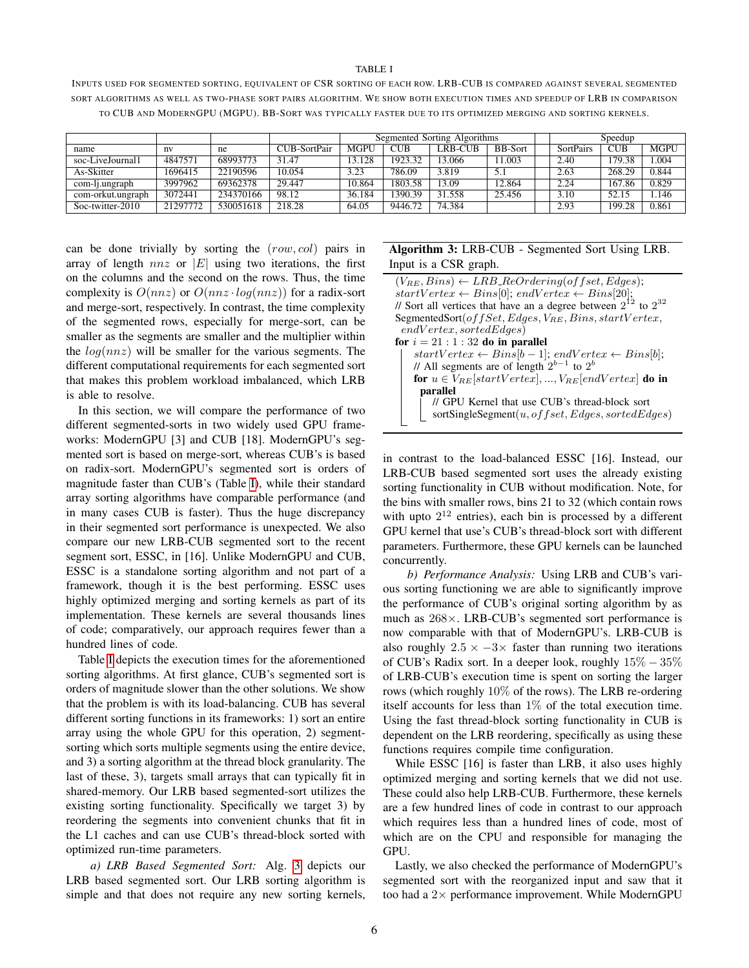## TABLE I

<span id="page-5-0"></span>INPUTS USED FOR SEGMENTED SORTING, EQUIVALENT OF CSR SORTING OF EACH ROW. LRB-CUB IS COMPARED AGAINST SEVERAL SEGMENTED SORT ALGORITHMS AS WELL AS TWO-PHASE SORT PAIRS ALGORITHM. WE SHOW BOTH EXECUTION TIMES AND SPEEDUP OF LRB IN COMPARISON TO CUB AND MODERNGPU (MGPU). BB-SORT WAS TYPICALLY FASTER DUE TO ITS OPTIMIZED MERGING AND SORTING KERNELS.

|                   |          |           |              | Segmented Sorting Algorithms |            |         |                | Speedup          |        |             |
|-------------------|----------|-----------|--------------|------------------------------|------------|---------|----------------|------------------|--------|-------------|
| name              | nv       | ne        | CUB-SortPair | <b>MGPU</b>                  | <b>CUB</b> | LRB-CUB | <b>BB-Sort</b> | <b>SortPairs</b> | CUB    | <b>MGPU</b> |
| soc-LiveJournal1  | 4847571  | 68993773  | 31.47        | 3.128                        | 1923.32    | 13.066  | 1.003          | 2.40             | 179.38 | 1.004       |
| As-Skitter        | 1696415  | 22190596  | 10.054       | 3.23                         | 786.09     | 3.819   | 5.1            | 2.63             | 268.29 | 0.844       |
| com-lj.ungraph    | 3997962  | 69362378  | 29.447       | 10.864                       | 1803.58    | 13.09   | 12.864         | 2.24             | 167.86 | 0.829       |
| com-orkut.ungraph | 3072441  | 234370166 | 98.12        | 36.184                       | 390.39     | 31.558  | 25.456         | 3.10             | 52.15  | 1.146       |
| Soc-twitter-2010  | 21297772 | 530051618 | 218.28       | 64.05                        | 9446.72    | 74.384  |                | 2.93             | 199.28 | 0.861       |

can be done trivially by sorting the  $(row, col)$  pairs in array of length  $nnz$  or |E| using two iterations, the first on the columns and the second on the rows. Thus, the time complexity is  $O(nnz)$  or  $O(nnz \cdot log(nnz))$  for a radix-sort and merge-sort, respectively. In contrast, the time complexity of the segmented rows, especially for merge-sort, can be smaller as the segments are smaller and the multiplier within the  $log(nnz)$  will be smaller for the various segments. The different computational requirements for each segmented sort that makes this problem workload imbalanced, which LRB is able to resolve.

In this section, we will compare the performance of two different segmented-sorts in two widely used GPU frameworks: ModernGPU [3] and CUB [18]. ModernGPU's segmented sort is based on merge-sort, whereas CUB's is based on radix-sort. ModernGPU's segmented sort is orders of magnitude faster than CUB's (Table [I\)](#page-5-0), while their standard array sorting algorithms have comparable performance (and in many cases CUB is faster). Thus the huge discrepancy in their segmented sort performance is unexpected. We also compare our new LRB-CUB segmented sort to the recent segment sort, ESSC, in [16]. Unlike ModernGPU and CUB, ESSC is a standalone sorting algorithm and not part of a framework, though it is the best performing. ESSC uses highly optimized merging and sorting kernels as part of its implementation. These kernels are several thousands lines of code; comparatively, our approach requires fewer than a hundred lines of code.

Table [I](#page-5-0) depicts the execution times for the aforementioned sorting algorithms. At first glance, CUB's segmented sort is orders of magnitude slower than the other solutions. We show that the problem is with its load-balancing. CUB has several different sorting functions in its frameworks: 1) sort an entire array using the whole GPU for this operation, 2) segmentsorting which sorts multiple segments using the entire device, and 3) a sorting algorithm at the thread block granularity. The last of these, 3), targets small arrays that can typically fit in shared-memory. Our LRB based segmented-sort utilizes the existing sorting functionality. Specifically we target 3) by reordering the segments into convenient chunks that fit in the L1 caches and can use CUB's thread-block sorted with optimized run-time parameters.

*a) LRB Based Segmented Sort:* Alg. [3](#page-5-1) depicts our LRB based segmented sort. Our LRB sorting algorithm is simple and that does not require any new sorting kernels,

## Algorithm 3: LRB-CUB - Segmented Sort Using LRB. Input is a CSR graph.

| $(V_{RE}, Bins) \leftarrow LRB\_ReOrdering(offset, Edges);$             |
|-------------------------------------------------------------------------|
| $startVertex \leftarrow Bins[0]; endVertex \leftarrow Bins[20];$        |
| // Sort all vertices that have an a degree between $2^{12}$ to $2^{32}$ |
| SegmentedSort(of f Set, Edges, $V_{RE}$ , Bins, startV ertex,           |
| $endVertex$ , sortedEdges)                                              |
| for $i = 21 : 1 : 32$ do in parallel                                    |
| $startVertex \leftarrow Bins[b-1]$ ; endVertex $\leftarrow Bins[b]$ ;   |
| // All segments are of length $2^{b-1}$ to $2^b$                        |
| for $u \in V_{RE}[startVertex], , V_{RE}[endVertex]$ do in              |
| parallel                                                                |
| // GPU Kernel that use CUB's thread-block sort                          |
| $sortSingleSegment(u, offset, Edges, sortedEdges)$                      |
|                                                                         |

<span id="page-5-1"></span>in contrast to the load-balanced ESSC [16]. Instead, our LRB-CUB based segmented sort uses the already existing sorting functionality in CUB without modification. Note, for the bins with smaller rows, bins 21 to 32 (which contain rows with upto  $2^{12}$  entries), each bin is processed by a different GPU kernel that use's CUB's thread-block sort with different parameters. Furthermore, these GPU kernels can be launched concurrently.

*b) Performance Analysis:* Using LRB and CUB's various sorting functioning we are able to significantly improve the performance of CUB's original sorting algorithm by as much as 268×. LRB-CUB's segmented sort performance is now comparable with that of ModernGPU's. LRB-CUB is also roughly  $2.5 \times -3 \times$  faster than running two iterations of CUB's Radix sort. In a deeper look, roughly 15% − 35% of LRB-CUB's execution time is spent on sorting the larger rows (which roughly 10% of the rows). The LRB re-ordering itself accounts for less than 1% of the total execution time. Using the fast thread-block sorting functionality in CUB is dependent on the LRB reordering, specifically as using these functions requires compile time configuration.

While ESSC [16] is faster than LRB, it also uses highly optimized merging and sorting kernels that we did not use. These could also help LRB-CUB. Furthermore, these kernels are a few hundred lines of code in contrast to our approach which requires less than a hundred lines of code, most of which are on the CPU and responsible for managing the GPU.

Lastly, we also checked the performance of ModernGPU's segmented sort with the reorganized input and saw that it too had a  $2\times$  performance improvement. While ModernGPU